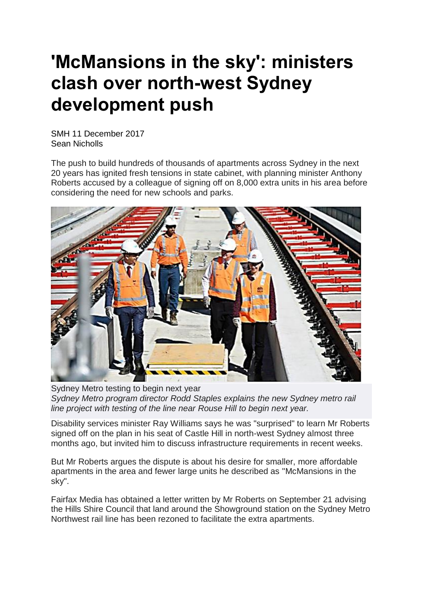## **'McMansions in the sky': ministers clash over north-west Sydney development push**

SMH 11 December 2017 Sean Nicholls

The push to build hundreds of thousands of apartments across Sydney in the next 20 years has ignited fresh tensions in state cabinet, with planning minister Anthony Roberts accused by a colleague of signing off on 8,000 extra units in his area before considering the need for new schools and parks.



Sydney Metro testing to begin next year *Sydney Metro program director Rodd Staples explains the new Sydney metro rail line project with testing of the line near Rouse Hill to begin next year.*

Disability services minister Ray Williams says he was "surprised" to learn Mr Roberts signed off on the plan in his seat of Castle Hill in north-west Sydney almost three months ago, but invited him to discuss infrastructure requirements in recent weeks.

But Mr Roberts argues the dispute is about his desire for smaller, more affordable apartments in the area and fewer large units he described as "McMansions in the sky".

Fairfax Media has obtained a letter written by Mr Roberts on September 21 advising the Hills Shire Council that land around the Showground station on the Sydney Metro Northwest rail line has been rezoned to facilitate the extra apartments.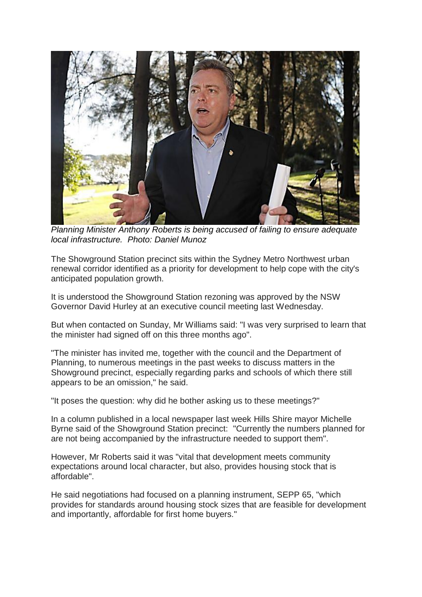

*Planning Minister Anthony Roberts is being accused of failing to ensure adequate local infrastructure. Photo: Daniel Munoz*

The Showground Station precinct sits within the Sydney Metro Northwest urban renewal corridor identified as a priority for development to help cope with the city's anticipated population growth.

It is understood the Showground Station rezoning was approved by the NSW Governor David Hurley at an executive council meeting last Wednesday.

But when contacted on Sunday, Mr Williams said: "I was very surprised to learn that the minister had signed off on this three months ago".

"The minister has invited me, together with the council and the Department of Planning, to numerous meetings in the past weeks to discuss matters in the Showground precinct, especially regarding parks and schools of which there still appears to be an omission," he said.

"It poses the question: why did he bother asking us to these meetings?"

In a column published in a local newspaper last week Hills Shire mayor Michelle Byrne said of the Showground Station precinct: "Currently the numbers planned for are not being accompanied by the infrastructure needed to support them".

However, Mr Roberts said it was "vital that development meets community expectations around local character, but also, provides housing stock that is affordable".

He said negotiations had focused on a planning instrument, SEPP 65, "which provides for standards around housing stock sizes that are feasible for development and importantly, affordable for first home buyers."